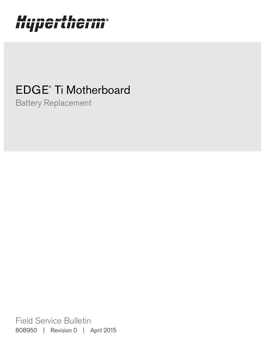# Hypertherm®

## EDGE® Ti Motherboard

Battery Replacement

Field Service Bulletin 808950 | Revision 0 | April 2015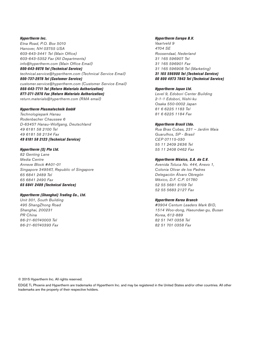Hypertherm Inc. Etna Road, P.O. Box 5010 Hanover, NH 03755 USA 603-643-3441 Tel (Main Office) 603-643-5352 Fax (All Departments) info@hypertherm.com (Main Office Email) 800-643-9878 Tel (Technical Service) technical.service@hypertherm.com (Technical Service Email)

800-737-2978 Tel (Customer Service) customer.service@hypertherm.com (Customer Service Email) 866-643-7711 Tel (Return Materials Authorization) 877-371-2876 Fax (Return Materials Authorization) return.materials@hypertherm.com (RMA email)

#### Hypertherm Plasmatechnik GmbH

Technologiepark Hanau Rodenbacher Chaussee 6 D-63457 Hanau-Wolfgang, Deutschland 49 6181 58 2100 Tel 49 6181 58 2134 Fax 49 6181 58 2123 (Technical Service)

#### Hypertherm (S) Pte Ltd.

82 Genting Lane Media Centre Annexe Block #A01-01 Singapore 349567, Republic of Singapore 65 6841 2489 Tel 65 6841 2490 Fax 65 6841 2489 (Technical Service)

#### Hypertherm (Shanghai) Trading Co., Ltd.

Unit 301, South Building 495 ShangZhong Road Shanghai, 200231 PR China 86-21-60740003 Tel 86-21-60740393 Fax

#### Hypertherm Europe B.V.

Vaartveld 9 4704 SE Roosendaal, Nederland 31 165 596907 Tel 31 165 596901 Fax 31 165 596908 Tel (Marketing) 31 165 596900 Tel (Technical Service) 00 800 4973 7843 Tel (Technical Service)

#### Hypertherm Japan Ltd.

Level 9, Edobori Center Building 2-1-1 Edobori, Nishi-ku Osaka 550-0002 Japan 81 6 6225 1183 Tel 81 6 6225 1184 Fax

#### Hypertherm Brasil Ltda.

Rua Bras Cubas, 231 – Jardim Maia Guarulhos, SP - Brasil CEP 07115-030 55 11 2409 2636 Tel 55 11 2408 0462 Fax

#### Hypertherm México, S.A. de C.V.

Avenida Toluca No. 444, Anexo 1, Colonia Olivar de los Padres Delegación Álvaro Obregón México, D.F. C.P. 01780 52 55 5681 8109 Tel 52 55 5683 2127 Fax

#### Hypertherm Korea Branch

#3904 Centum Leaders Mark B/D, 1514 Woo-dong, Haeundae-gu, Busan Korea, 612-889 82 51 747 0358 Tel 82 51 701 0358 Fax

© 2015 Hypertherm Inc. All rights reserved.

EDGE Ti, Phoenix and Hypertherm are trademarks of Hypertherm Inc. and may be registered in the United States and/or other countries. All other trademarks are the property of their respective holders.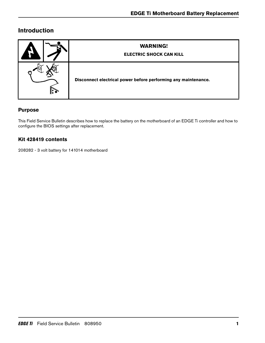## **Introduction**

| <b>WARNING!</b><br><b>ELECTRIC SHOCK CAN KILL</b>              |
|----------------------------------------------------------------|
| Disconnect electrical power before performing any maintenance. |

## **Purpose**

This Field Service Bulletin describes how to replace the battery on the motherboard of an EDGE Ti controller and how to configure the BIOS settings after replacement.

## **Kit 428419 contents**

208282 - 3 volt battery for 141014 motherboard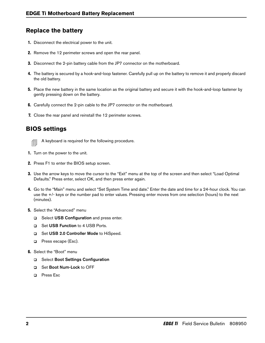## **Replace the battery**

- 1. Disconnect the electrical power to the unit.
- 2. Remove the 12 perimeter screws and open the rear panel.
- 3. Disconnect the 2-pin battery cable from the JP7 connector on the motherboard.
- 4. The battery is secured by a hook-and-loop fastener. Carefully pull up on the battery to remove it and properly discard the old battery.
- 5. Place the new battery in the same location as the original battery and secure it with the hook-and-loop fastener by gently pressing down on the battery.
- 6. Carefully connect the 2-pin cable to the JP7 connector on the motherboard.
- 7. Close the rear panel and reinstall the 12 perimeter screws.

## **BIOS settings**



- $\text{and} \ \mathsf{A}$  keyboard is required for the following procedure.
- 1. Turn on the power to the unit.
- 2. Press F1 to enter the BIOS setup screen.
- 3. Use the arrow keys to move the cursor to the "Exit" menu at the top of the screen and then select "Load Optimal Defaults." Press enter, select OK, and then press enter again.
- 4. Go to the "Main" menu and select "Set System Time and date." Enter the date and time for a 24-hour clock. You can use the +/- keys or the number pad to enter values. Pressing enter moves from one selection (hours) to the next (minutes).
- **5.** Select the "Advanced" menu
	- □ Select USB Configuration and press enter.
	- □ Set USB Function to 4 USB Ports.
	- □ Set USB 2.0 Controller Mode to HiSpeed.
	- **Q** Press escape (Esc).
- 6. Select the "Boot" menu
	- □ Select Boot Settings Configuration
	- □ Set Boot Num-Lock to OFF
	- **D** Press Esc